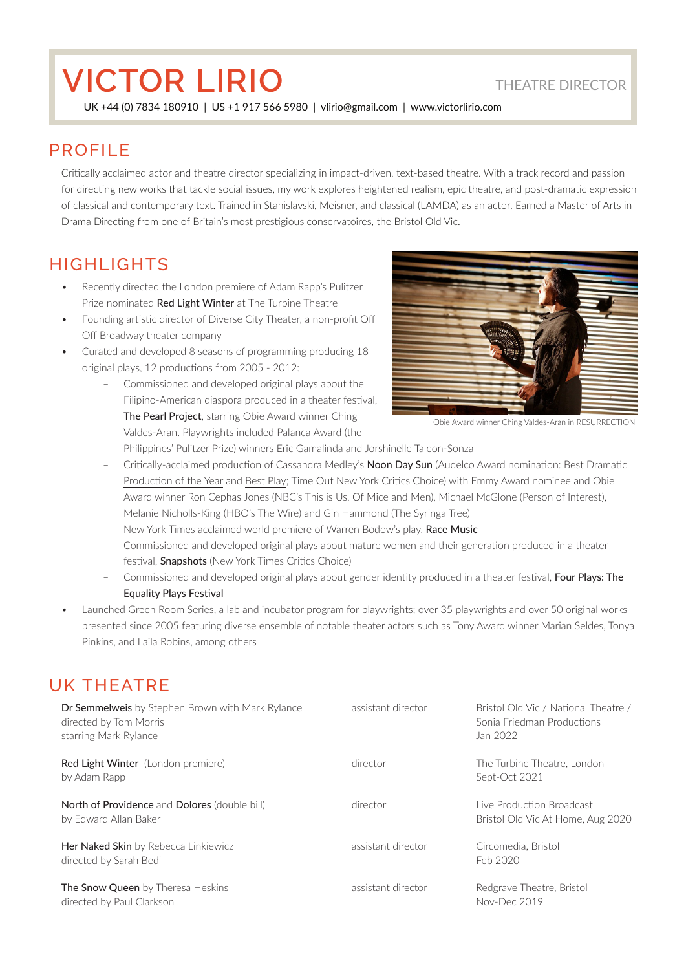# **VICTOR LIRIO** THEATRE DIRECTOR

UK +44 (0) 7834 180910 | US +1 917 566 5980 | vlirio@gmail.com | www.victorlirio.com

### PROFILE

Critically acclaimed actor and theatre director specializing in impact-driven, text-based theatre. With a track record and passion for directing new works that tackle social issues, my work explores heightened realism, epic theatre, and post-dramatic expression of classical and contemporary text. Trained in Stanislavski, Meisner, and classical (LAMDA) as an actor. Earned a Master of Arts in Drama Directing from one of Britain's most prestigious conservatoires, the Bristol Old Vic.

## HIGHLIGHTS

- Recently directed the London premiere of Adam Rapp's Pulitzer Prize nominated Red Light Winter at The Turbine Theatre
- Founding artistic director of Diverse City Theater, a non-profit Off Off Broadway theater company
- Curated and developed 8 seasons of programming producing 18 original plays, 12 productions from 2005 - 2012:
	- Commissioned and developed original plays about the Filipino-American diaspora produced in a theater festival, The Pearl Project, starring Obie Award winner Ching Valdes-Aran. Playwrights included Palanca Award (the



Obie Award winner Ching Valdes-Aran in RESURRECTION

Philippines' Pulitzer Prize) winners Eric Gamalinda and Jorshinelle Taleon-Sonza

- Critically-acclaimed production of Cassandra Medley's Noon Day Sun (Audelco Award nomination: Best Dramatic Production of the Year and Best Play; Time Out New York Critics Choice) with Emmy Award nominee and Obie Award winner Ron Cephas Jones (NBC's This is Us, Of Mice and Men), Michael McGlone (Person of Interest), Melanie Nicholls-King (HBO's The Wire) and Gin Hammond (The Syringa Tree)
- New York Times acclaimed world premiere of Warren Bodow's play, Race Music
- Commissioned and developed original plays about mature women and their generation produced in a theater festival, **Snapshots** (New York Times Critics Choice)
- Commissioned and developed original plays about gender identity produced in a theater festival, Four Plays: The Equality Plays Festival
- Launched Green Room Series, a lab and incubator program for playwrights; over 35 playwrights and over 50 original works presented since 2005 featuring diverse ensemble of notable theater actors such as Tony Award winner Marian Seldes, Tonya Pinkins, and Laila Robins, among others

### UK THEATRE

| <b>Dr Semmelweis</b> by Stephen Brown with Mark Rylance<br>directed by Tom Morris<br>starring Mark Rylance | assistant director | Bristol Old Vic / National Theatre /<br>Sonia Friedman Productions<br>Jan 2022 |
|------------------------------------------------------------------------------------------------------------|--------------------|--------------------------------------------------------------------------------|
| <b>Red Light Winter</b> (London premiere)<br>by Adam Rapp                                                  | director           | The Turbine Theatre, London<br>Sept-Oct 2021                                   |
| North of Providence and Dolores (double bill)<br>by Edward Allan Baker                                     | director           | Live Production Broadcast<br>Bristol Old Vic At Home, Aug 2020                 |
| Her Naked Skin by Rebecca Linkiewicz<br>directed by Sarah Bedi                                             | assistant director | Circomedia, Bristol<br>Feb 2020                                                |
| <b>The Snow Queen</b> by Theresa Heskins<br>directed by Paul Clarkson                                      | assistant director | Redgrave Theatre, Bristol<br>Nov-Dec 2019                                      |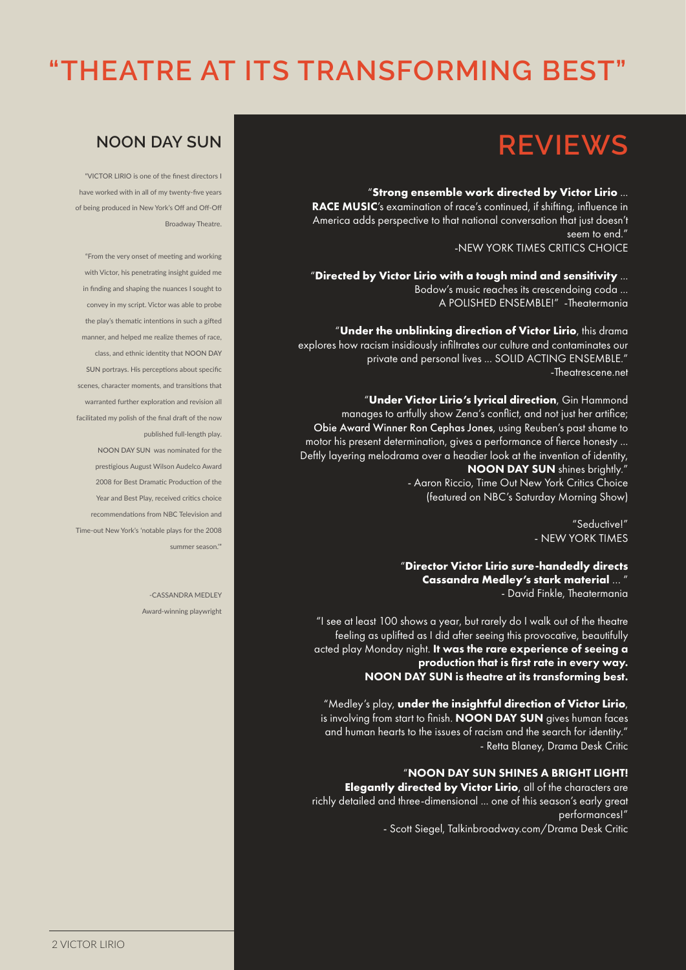# **"THEATRE AT ITS TRANSFORMING BEST"**

# **REVIEWS**

#### "**Strong ensemble work directed by Victor Lirio** ...

RACE MUSIC's examination of race's continued, if shifting, influence in America adds perspective to that national conversation that just doesn't seem to end." -NEW YORK TIMES CRITICS CHOICE

"**Directed by Victor Lirio with a tough mind and sensitivity** ... Bodow's music reaches its crescendoing coda ... A POLISHED ENSEMBLE!" -Theatermania

"**Under the unblinking direction of Victor Lirio**, this drama explores how racism insidiously infiltrates our culture and contaminates our private and personal lives ... SOLID ACTING ENSEMBLE." -Theatrescene.net

"**Under Victor Lirio's lyrical direction**, Gin Hammond manages to artfully show Zena's conflict, and not just her artifice; Obie Award Winner Ron Cephas Jones, using Reuben's past shame to motor his present determination, gives a performance of fierce honesty ... Deftly layering melodrama over a headier look at the invention of identity, NOON DAY SUN shines brightly.'

- Aaron Riccio, Time Out New York Critics Choice (featured on NBC's Saturday Morning Show)

> "Seductive!" - NEW YORK TIMES

"**Director Victor Lirio sure-handedly directs Cassandra Medley's stark material** … " - David Finkle, Theatermania

"I see at least 100 shows a year, but rarely do I walk out of the theatre feeling as uplifted as I did after seeing this provocative, beautifully acted play Monday night. It was the rare experience of seeing a production that is first rate in every way. NOON DAY SUN is theatre at its transforming best.

"Medley's play, **under the insightful direction of Victor Lirio**, is involving from start to finish. NOON DAY SUN gives human faces and human hearts to the issues of racism and the search for identity.' - Retta Blaney, Drama Desk Critic

#### "NOON DAY SUN SHINES A BRIGHT LIGHT!

**Elegantly directed by Victor Lirio**, all of the characters are richly detailed and three-dimensional ... one of this season's early great performances!"

- Scott Siegel, Talkinbroadway.com/Drama Desk Critic

## **NOON DAY SUN**

"VICTOR LIRIO is one of the finest directors I have worked with in all of my twenty-five years of being produced in New York's Off and Off-Off Broadway Theatre.

"From the very onset of meeting and working with Victor, his penetrating insight guided me in finding and shaping the nuances I sought to convey in my script. Victor was able to probe the play's thematic intentions in such a gifted manner, and helped me realize themes of race, class, and ethnic identity that NOON DAY SUN portrays. His perceptions about specific scenes, character moments, and transitions that warranted further exploration and revision all facilitated my polish of the final draft of the now published full-length play.

NOON DAY SUN was nominated for the prestigious August Wilson Audelco Award 2008 for Best Dramatic Production of the Year and Best Play, received critics choice recommendations from NBC Television and Time-out New York's 'notable plays for the 2008 summer season.'"

> -CASSANDRA MEDLEY Award-winning playwright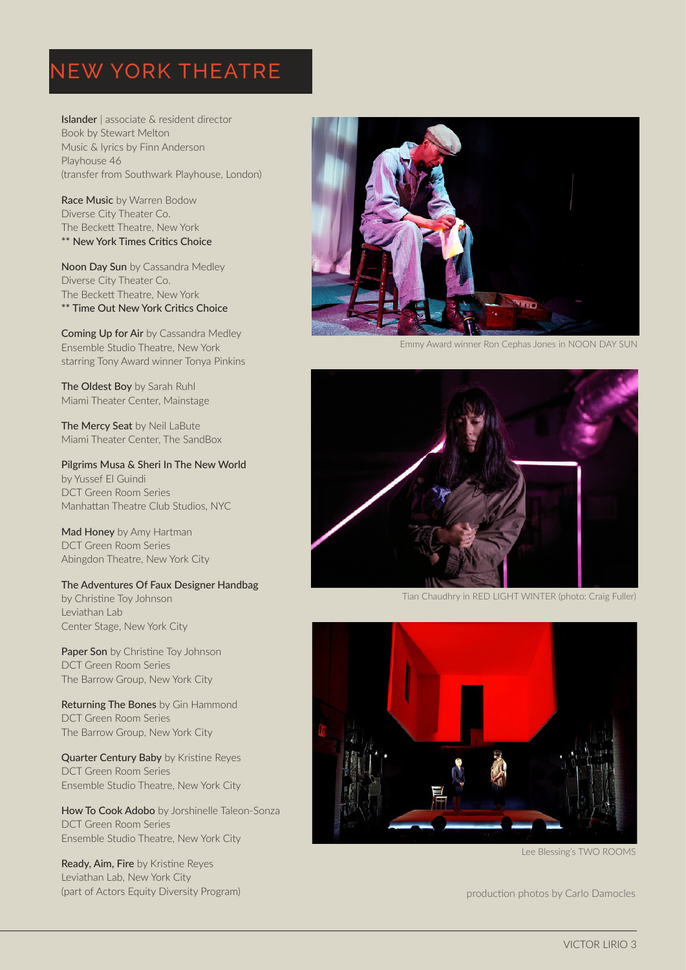## NEW YORK THEATRE

Islander | associate & resident director Book by Stewart Melton Music & lyrics by Finn Anderson Playhouse 46 (transfer from Southwark Playhouse, London)

Race Music by Warren Bodow Diverse City Theater Co. The Beckett Theatre, New York \*\* New York Times Critics Choice

Noon Day Sun by Cassandra Medley Diverse City Theater Co. The Beckett Theatre, New York \*\* Time Out New York Critics Choice

Coming Up for Air by Cassandra Medley Ensemble Studio Theatre, New York starring Tony Award winner Tonya Pinkins

The Oldest Boy by Sarah Ruhl Miami Theater Center, Mainstage

The Mercy Seat by Neil LaBute Miami Theater Center, The SandBox

Pilgrims Musa & Sheri In The New World by Yussef El Guindi DCT Green Room Series Manhattan Theatre Club Studios, NYC

Mad Honey by Amy Hartman DCT Green Room Series Abingdon Theatre, New York City

The Adventures Of Faux Designer Handbag by Christine Toy Johnson Leviathan Lab Center Stage, New York City

Paper Son by Christine Toy Johnson DCT Green Room Series The Barrow Group, New York City

Returning The Bones by Gin Hammond DCT Green Room Series The Barrow Group, New York City

**Quarter Century Baby by Kristine Reves** DCT Green Room Series Ensemble Studio Theatre, New York City

How To Cook Adobo by Jorshinelle Taleon-Sonza DCT Green Room Series Ensemble Studio Theatre, New York City

Ready, Aim, Fire by Kristine Reyes Leviathan Lab, New York City (part of Actors Equity Diversity Program) production photos by Carlo Damocles



Emmy Award winner Ron Cephas Jones in NOON DAY SUN



Tian Chaudhry in RED LIGHT WINTER (photo: Craig Fuller)



Lee Blessing's TWO ROOMS